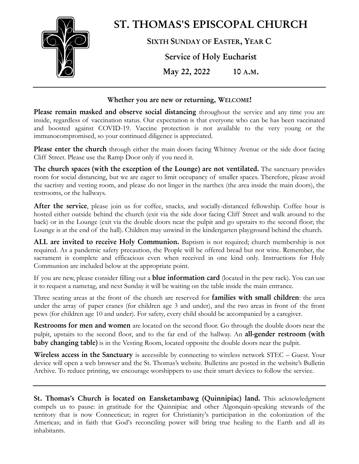

#### **Whether you are new or returning, WELCOME!**

**Please remain masked and observe social distancing** throughout the service and any time you are inside, regardless of vaccination status. Our expectation is that everyone who can be has been vaccinated and boosted against COVID-19. Vaccine protection is not available to the very young or the immunocompromised, so your continued diligence is appreciated.

**Please enter the church** through either the main doors facing Whitney Avenue or the side door facing Cliff Street. Please use the Ramp Door only if you need it.

**The church spaces (with the exception of the Lounge) are not ventilated.** The sanctuary provides room for social distancing, but we are eager to limit occupancy of smaller spaces. Therefore, please avoid the sacristy and vesting room, and please do not linger in the narthex (the area inside the main doors), the restrooms, or the hallways.

**After the service**, please join us for coffee, snacks, and socially-distanced fellowship. Coffee hour is hosted either outside behind the church (exit via the side door facing Cliff Street and walk around to the back) or in the Lounge (exit via the double doors near the pulpit and go upstairs to the second floor; the Lounge is at the end of the hall). Children may unwind in the kindergarten playground behind the church.

**ALL are invited to receive Holy Communion.** Baptism is not required; church membership is not required. As a pandemic safety precaution, the People will be offered bread but not wine. Remember, the sacrament is complete and efficacious even when received in one kind only. Instructions for Holy Communion are included below at the appropriate point.

If you are new, please consider filling out a **blue information card** (located in the pew rack). You can use it to request a nametag, and next Sunday it will be waiting on the table inside the main entrance.

Three seating areas at the front of the church are reserved for **families with small children**: the area under the array of paper cranes (for children age 3 and under), and the two areas in front of the front pews (for children age 10 and under). For safety, every child should be accompanied by a caregiver.

**Restrooms for men and women** are located on the second floor. Go through the double doors near the pulpit, upstairs to the second floor, and to the far end of the hallway. An **all-gender restroom (with baby changing table)** is in the Vesting Room, located opposite the double doors near the pulpit.

**Wireless access in the Sanctuary** is accessible by connecting to wireless network STEC – Guest. Your device will open a web browser and the St. Thomas's website. Bulletins are posted in the website's Bulletin Archive. To reduce printing, we encourage worshippers to use their smart devices to follow the service.

**St. Thomas's Church is located on Eansketambawg (Quinnipiac) land.** This acknowledgment compels us to pause: in gratitude for the Quinnipiac and other Algonquin-speaking stewards of the territory that is now Connecticut; in regret for Christianity's participation in the colonization of the Americas; and in faith that God's reconciling power will bring true healing to the Earth and all its inhabitants.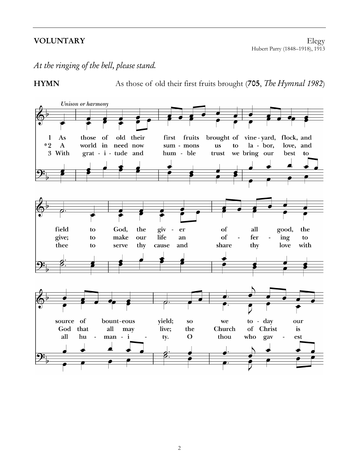**VOLUNTARY** Elegy Hubert Parry (1848–1918), 1913

*At the ringing of the bell, please stand.*



**HYMN** As those of old their first fruits brought (**705**, *The Hymnal 1982*)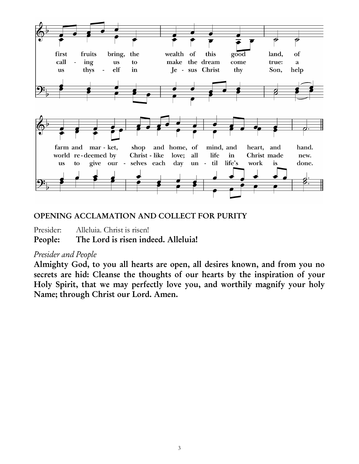

# **OPENING ACCLAMATION AND COLLECT FOR PURITY**

Presider: Alleluia. Christ is risen!

**People: The Lord is risen indeed. Alleluia!**

# *Presider and People*

**Almighty God, to you all hearts are open, all desires known, and from you no secrets are hid: Cleanse the thoughts of our hearts by the inspiration of your Holy Spirit, that we may perfectly love you, and worthily magnify your holy Name; through Christ our Lord. Amen.**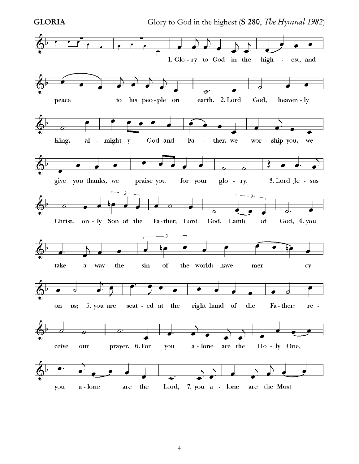

**GLORIA** Glory to God in the highest (**S 280**, *The Hymnal 1982*)

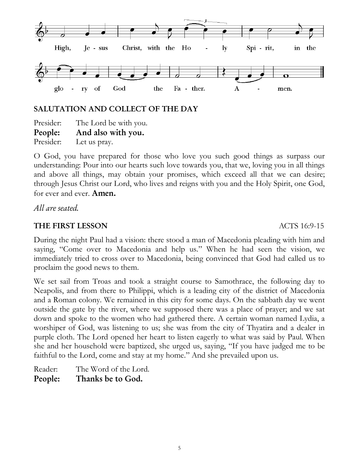

# **SALUTATION AND COLLECT OF THE DAY**

Presider: The Lord be with you. **People: And also with you.** Presider: Let us pray.

O God, you have prepared for those who love you such good things as surpass our understanding: Pour into our hearts such love towards you, that we, loving you in all things and above all things, may obtain your promises, which exceed all that we can desire; through Jesus Christ our Lord, who lives and reigns with you and the Holy Spirit, one God, for ever and ever. **Amen.**

*All are seated.*

# **THE FIRST LESSON** ACTS 16:9-15

During the night Paul had a vision: there stood a man of Macedonia pleading with him and saying, "Come over to Macedonia and help us." When he had seen the vision, we immediately tried to cross over to Macedonia, being convinced that God had called us to proclaim the good news to them.

We set sail from Troas and took a straight course to Samothrace, the following day to Neapolis, and from there to Philippi, which is a leading city of the district of Macedonia and a Roman colony. We remained in this city for some days. On the sabbath day we went outside the gate by the river, where we supposed there was a place of prayer; and we sat down and spoke to the women who had gathered there. A certain woman named Lydia, a worshiper of God, was listening to us; she was from the city of Thyatira and a dealer in purple cloth. The Lord opened her heart to listen eagerly to what was said by Paul. When she and her household were baptized, she urged us, saying, "If you have judged me to be faithful to the Lord, come and stay at my home." And she prevailed upon us.

Reader: The Word of the Lord. **People: Thanks be to God.**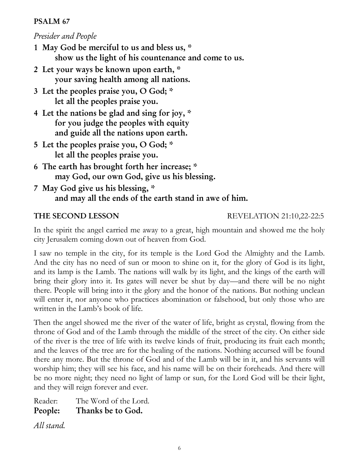## **PSALM 67**

# *Presider and People*

- **1 May God be merciful to us and bless us, \* show us the light of his countenance and come to us.**
- **2 Let your ways be known upon earth, \* your saving health among all nations.**
- **3 Let the peoples praise you, O God; \* let all the peoples praise you.**
- **4 Let the nations be glad and sing for joy, \* for you judge the peoples with equity and guide all the nations upon earth.**
- **5 Let the peoples praise you, O God; \* let all the peoples praise you.**
- **6 The earth has brought forth her increase; \* may God, our own God, give us his blessing.**
- **7 May God give us his blessing, \* and may all the ends of the earth stand in awe of him.**

**THE SECOND LESSON** REVELATION 21:10,22-22:5

In the spirit the angel carried me away to a great, high mountain and showed me the holy city Jerusalem coming down out of heaven from God.

I saw no temple in the city, for its temple is the Lord God the Almighty and the Lamb. And the city has no need of sun or moon to shine on it, for the glory of God is its light, and its lamp is the Lamb. The nations will walk by its light, and the kings of the earth will bring their glory into it. Its gates will never be shut by day—and there will be no night there. People will bring into it the glory and the honor of the nations. But nothing unclean will enter it, nor anyone who practices abomination or falsehood, but only those who are written in the Lamb's book of life.

Then the angel showed me the river of the water of life, bright as crystal, flowing from the throne of God and of the Lamb through the middle of the street of the city. On either side of the river is the tree of life with its twelve kinds of fruit, producing its fruit each month; and the leaves of the tree are for the healing of the nations. Nothing accursed will be found there any more. But the throne of God and of the Lamb will be in it, and his servants will worship him; they will see his face, and his name will be on their foreheads. And there will be no more night; they need no light of lamp or sun, for the Lord God will be their light, and they will reign forever and ever.

Reader: The Word of the Lord. **People: Thanks be to God.**

*All stand.*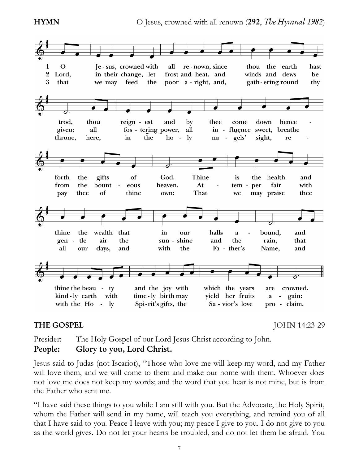**HYMN** O Jesus, crowned with all renown (292, *The Hymnal 1982*)



**THE GOSPEL** JOHN 14:23-29

Presider: The Holy Gospel of our Lord Jesus Christ according to John. **People: Glory to you, Lord Christ.**

Jesus said to Judas (not Iscariot), "Those who love me will keep my word, and my Father will love them, and we will come to them and make our home with them. Whoever does not love me does not keep my words; and the word that you hear is not mine, but is from the Father who sent me.

"I have said these things to you while I am still with you. But the Advocate, the Holy Spirit, whom the Father will send in my name, will teach you everything, and remind you of all that I have said to you. Peace I leave with you; my peace I give to you. I do not give to you as the world gives. Do not let your hearts be troubled, and do not let them be afraid. You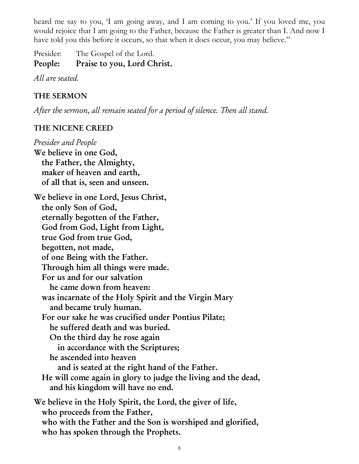heard me say to you, 'I am going away, and I am coming to you.' If you loved me, you would rejoice that I am going to the Father, because the Father is greater than I. And now I have told you this before it occurs, so that when it does occur, you may believe."

Presider: The Gospel of the Lord. **People: Praise to you, Lord Christ.**

*All are seated.*

# **THE SERMON**

*After the sermon, all remain seated for a period of silence. Then all stand.*

# **THE NICENE CREED**

*Presider and People* **We believe in one God, the Father, the Almighty, maker of heaven and earth, of all that is, seen and unseen. We believe in one Lord, Jesus Christ, the only Son of God, eternally begotten of the Father, God from God, Light from Light, true God from true God, begotten, not made, of one Being with the Father. Through him all things were made. For us and for our salvation he came down from heaven: was incarnate of the Holy Spirit and the Virgin Mary and became truly human. For our sake he was crucified under Pontius Pilate; he suffered death and was buried. On the third day he rose again in accordance with the Scriptures; he ascended into heaven and is seated at the right hand of the Father. He will come again in glory to judge the living and the dead, and his kingdom will have no end. We believe in the Holy Spirit, the Lord, the giver of life, who proceeds from the Father, who with the Father and the Son is worshiped and glorified, who has spoken through the Prophets.**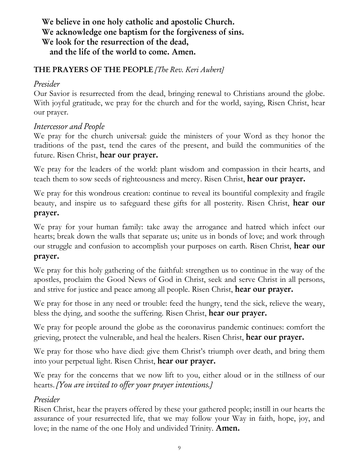# **We believe in one holy catholic and apostolic Church. We acknowledge one baptism for the forgiveness of sins. We look for the resurrection of the dead, and the life of the world to come. Amen.**

# **THE PRAYERS OF THE PEOPLE** *[The Rev. Keri Aubert]*

## *Presider*

Our Savior is resurrected from the dead, bringing renewal to Christians around the globe. With joyful gratitude, we pray for the church and for the world, saying, Risen Christ, hear our prayer.

# *Intercessor and People*

We pray for the church universal: guide the ministers of your Word as they honor the traditions of the past, tend the cares of the present, and build the communities of the future. Risen Christ, **hear our prayer.** 

We pray for the leaders of the world: plant wisdom and compassion in their hearts, and teach them to sow seeds of righteousness and mercy. Risen Christ, **hear our prayer.**

We pray for this wondrous creation: continue to reveal its bountiful complexity and fragile beauty, and inspire us to safeguard these gifts for all posterity. Risen Christ, **hear our prayer.**

We pray for your human family: take away the arrogance and hatred which infect our hearts; break down the walls that separate us; unite us in bonds of love; and work through our struggle and confusion to accomplish your purposes on earth. Risen Christ, **hear our prayer.**

We pray for this holy gathering of the faithful: strengthen us to continue in the way of the apostles, proclaim the Good News of God in Christ, seek and serve Christ in all persons, and strive for justice and peace among all people. Risen Christ, **hear our prayer.**

We pray for those in any need or trouble: feed the hungry, tend the sick, relieve the weary, bless the dying, and soothe the suffering. Risen Christ, **hear our prayer.**

We pray for people around the globe as the coronavirus pandemic continues: comfort the grieving, protect the vulnerable, and heal the healers. Risen Christ, **hear our prayer.** 

We pray for those who have died: give them Christ's triumph over death, and bring them into your perpetual light. Risen Christ, **hear our prayer.**

We pray for the concerns that we now lift to you, either aloud or in the stillness of our hearts. *[You are invited to offer your prayer intentions.]*

# *Presider*

Risen Christ, hear the prayers offered by these your gathered people; instill in our hearts the assurance of your resurrected life, that we may follow your Way in faith, hope, joy, and love; in the name of the one Holy and undivided Trinity. **Amen.**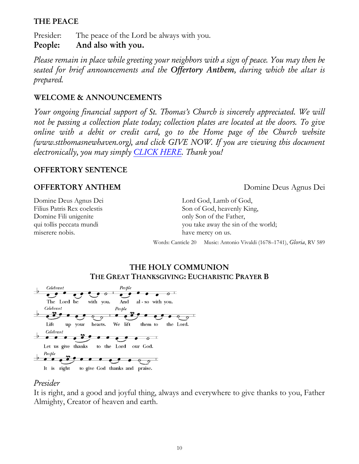## **THE PEACE**

Presider: The peace of the Lord be always with you. **People: And also with you.**

*Please remain in place while greeting your neighbors with a sign of peace. You may then be seated for brief announcements and the Offertory Anthem, during which the altar is prepared.*

### **WELCOME & ANNOUNCEMENTS**

*Your ongoing financial support of St. Thomas's Church is sincerely appreciated. We will not be passing a collection plate today; collection plates are located at the doors. To give online with a debit or credit card, go to the Home page of the Church website (www.stthomasnewhaven.org), and click GIVE NOW. If you are viewing this document electronically, you may simply [CLICK HERE.](https://www.eservicepayments.com/cgi-bin/Vanco_ver3.vps?appver3=Fi1giPL8kwX_Oe1AO50jRjlaa8kk38nFSc7qZC8ojCks4NSQukCYDzKLUtTTUlsf2EvVVAEjqawDomKT1pboueWRKPI6Vr5O0LVBV63LB8s=&ver=3) Thank you!*

### **OFFERTORY SENTENCE**

### **OFFERTORY ANTHEM** Domine Deus Agnus Dei

Domine Deus Agnus Dei Filius Patris Rex coelestis Domine Fili unigenite qui tollis peccata mundi miserere nobis.

Lord God, Lamb of God, Son of God, heavenly King, only Son of the Father, you take away the sin of the world; have mercy on us.

Words: Canticle 20 Music: Antonio Vivaldi (1678–1741), *Gloria*, RV 589

## **THE HOLY COMMUNION THE GREAT THANKSGIVING: EUCHARISTIC PRAYER B**



## *Presider*

It is right, and a good and joyful thing, always and everywhere to give thanks to you, Father Almighty, Creator of heaven and earth.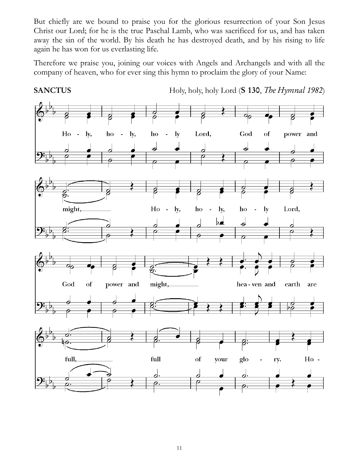But chiefly are we bound to praise you for the glorious resurrection of your Son Jesus Christ our Lord; for he is the true Paschal Lamb, who was sacrificed for us, and has taken away the sin of the world. By his death he has destroyed death, and by his rising to life again he has won for us everlasting life.

Therefore we praise you, joining our voices with Angels and Archangels and with all the company of heaven, who for ever sing this hymn to proclaim the glory of your Name:



**SANCTUS** Holy, holy, holy Lord (**S 130**, *The Hymnal 1982*)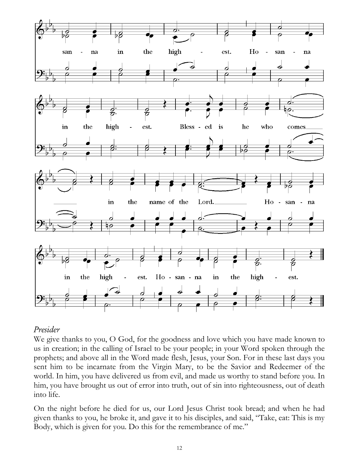

## *Presider*

We give thanks to you, O God, for the goodness and love which you have made known to us in creation; in the calling of Israel to be your people; in your Word spoken through the prophets; and above all in the Word made flesh, Jesus, your Son. For in these last days you sent him to be incarnate from the Virgin Mary, to be the Savior and Redeemer of the world. In him, you have delivered us from evil, and made us worthy to stand before you. In him, you have brought us out of error into truth, out of sin into righteousness, out of death into life.

On the night before he died for us, our Lord Jesus Christ took bread; and when he had given thanks to you, he broke it, and gave it to his disciples, and said, "Take, eat: This is my Body, which is given for you. Do this for the remembrance of me."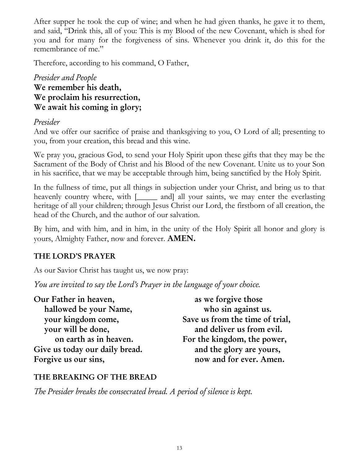After supper he took the cup of wine; and when he had given thanks, he gave it to them, and said, "Drink this, all of you: This is my Blood of the new Covenant, which is shed for you and for many for the forgiveness of sins. Whenever you drink it, do this for the remembrance of me."

Therefore, according to his command, O Father,

# *Presider and People* **We remember his death, We proclaim his resurrection, We await his coming in glory;**

# *Presider*

And we offer our sacrifice of praise and thanksgiving to you, O Lord of all; presenting to you, from your creation, this bread and this wine.

We pray you, gracious God, to send your Holy Spirit upon these gifts that they may be the Sacrament of the Body of Christ and his Blood of the new Covenant. Unite us to your Son in his sacrifice, that we may be acceptable through him, being sanctified by the Holy Spirit.

In the fullness of time, put all things in subjection under your Christ, and bring us to that heavenly country where, with [\_\_\_\_\_ and] all your saints, we may enter the everlasting heritage of all your children; through Jesus Christ our Lord, the firstborn of all creation, the head of the Church, and the author of our salvation.

By him, and with him, and in him, in the unity of the Holy Spirit all honor and glory is yours, Almighty Father, now and forever. **AMEN.**

# **THE LORD'S PRAYER**

As our Savior Christ has taught us, we now pray:

*You are invited to say the Lord's Prayer in the language of your choice.*

| as we forgive those             |
|---------------------------------|
| who sin against us.             |
| Save us from the time of trial, |
| and deliver us from evil.       |
| For the kingdom, the power,     |
| and the glory are yours,        |
| now and for ever. Amen.         |
|                                 |

# **THE BREAKING OF THE BREAD**

*The Presider breaks the consecrated bread. A period of silence is kept.*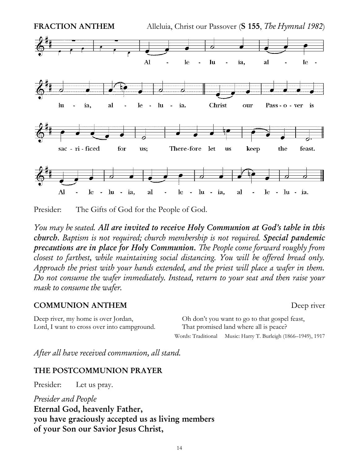

Presider: The Gifts of God for the People of God.

*You may be seated. All are invited to receive Holy Communion at God's table in this church. Baptism is not required; church membership is not required. Special pandemic precautions are in place for Holy Communion. The People come forward roughly from closest to farthest, while maintaining social distancing. You will be offered bread only. Approach the priest with your hands extended, and the priest will place a wafer in them. Do not consume the wafer immediately. Instead, return to your seat and then raise your mask to consume the wafer.* 

### **COMMUNION ANTHEM** Deep river

Deep river, my home is over Jordan, Lord, I want to cross over into campground. Oh don't you want to go to that gospel feast, That promised land where all is peace? Words: Traditional Music: Harry T. Burleigh (1866–1949), 1917

*After all have received communion, all stand.*

## **THE POSTCOMMUNION PRAYER**

Presider: Let us pray.

*Presider and People* **Eternal God, heavenly Father, you have graciously accepted us as living members of your Son our Savior Jesus Christ,**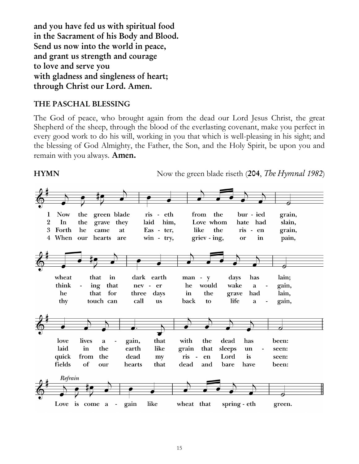**and you have fed us with spiritual food in the Sacrament of his Body and Blood. Send us now into the world in peace, and grant us strength and courage to love and serve you with gladness and singleness of heart; through Christ our Lord. Amen.**

## **THE PASCHAL BLESSING**

The God of peace, who brought again from the dead our Lord Jesus Christ, the great Shepherd of the sheep, through the blood of the everlasting covenant, make you perfect in every good work to do his will, working in you that which is well-pleasing in his sight; and the blessing of God Almighty, the Father, the Son, and the Holy Spirit, be upon you and remain with you always. **Amen.**

**HYMN** Now the green blade riseth (204, *The Hymnal 1982*)

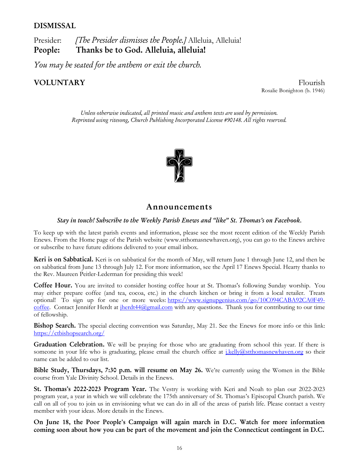#### **DISMISSAL**

Presider: *[The Presider dismisses the People.]* Alleluia, Alleluia! **People: Thanks be to God. Alleluia, alleluia!**

*You may be seated for the anthem or exit the church.*

**VOLUNTARY** Flourish Rosalie Bonighton (b. 1946)

> *Unless otherwise indicated, all printed music and anthem texts are used by permission. Reprinted using ritesong, Church Publishing Incorporated License #90148. All rights reserved.*



#### **Announcements**

#### *Stay in touch! Subscribe to the Weekly Parish Enews and "like" St. Thomas's on Facebook.*

To keep up with the latest parish events and information, please see the most recent edition of the Weekly Parish Enews. From the Home page of the Parish website [\(www.stthomasnewhaven.org\)](http://www.stthomasnewhaven.org/), you can go to the Enews archive or subscribe to have future editions delivered to your email inbox.

**Keri is on Sabbatical.** Keri is on sabbatical for the month of May, will return June 1 through June 12, and then be on sabbatical from June 13 through July 12. For more information, see the April 17 Enews Special. Hearty thanks to the Rev. Maureen Peitler-Lederman for presiding this week!

**Coffee Hour.** You are invited to consider hosting coffee hour at St. Thomas's following Sunday worship. You may either prepare coffee (and tea, cocoa, etc.) in the church kitchen or bring it from a local retailer. Treats optional! To sign up for one or more weeks: [https://www.signupgenius.com/go/10C094CABA92CA0F49](https://nam12.safelinks.protection.outlook.com/?url=https%3A%2F%2Fwww.signupgenius.com%2Fgo%2F10C094CABA92CA0F49-coffee&data=04%7C01%7Cjennifer.herdt%40yale.edu%7C6382f1cd26f34d72783e08da02105fb6%7Cdd8cbebb21394df8b4114e3e87abeb5c%7C0%7C0%7C637824566592953682%7CUnknown%7CTWFpbGZsb3d8eyJWIjoiMC4wLjAwMDAiLCJQIjoiV2luMzIiLCJBTiI6Ik1haWwiLCJXVCI6Mn0%3D%7C3000&sdata=lfhrIOxFIh%2FI5Si1ELDUOvGChJnYI1YcMFsN1jA6cok%3D&reserved=0) [coffee.](https://nam12.safelinks.protection.outlook.com/?url=https%3A%2F%2Fwww.signupgenius.com%2Fgo%2F10C094CABA92CA0F49-coffee&data=04%7C01%7Cjennifer.herdt%40yale.edu%7C6382f1cd26f34d72783e08da02105fb6%7Cdd8cbebb21394df8b4114e3e87abeb5c%7C0%7C0%7C637824566592953682%7CUnknown%7CTWFpbGZsb3d8eyJWIjoiMC4wLjAwMDAiLCJQIjoiV2luMzIiLCJBTiI6Ik1haWwiLCJXVCI6Mn0%3D%7C3000&sdata=lfhrIOxFIh%2FI5Si1ELDUOvGChJnYI1YcMFsN1jA6cok%3D&reserved=0) Contact Jennifer Herdt at  $iherdt44@gmail.com$  with any questions. Thank you for contributing to our time of fellowship.

**Bishop Search.** The special electing convention was Saturday, May 21. See the Enews for more info or this link: <https://ctbishopsearch.org/>

**Graduation Celebration.** We will be praying for those who are graduating from school this year. If there is someone in your life who is graduating, please email the church office at *j.kelly@stthomasnewhaven.org* so their name can be added to our list.

**Bible Study, Thursdays, 7:30 p.m. will resume on May 26.** We're currently using the Women in the Bible course from Yale Divinity School. Details in the Enews.

**St. Thomas's 2022-2023 Program Year.** The Vestry is working with Keri and Noah to plan our 2022-2023 program year, a year in which we will celebrate the 175th anniversary of St. Thomas's Episcopal Church parish. We call on all of you to join us in envisioning what we can do in all of the areas of parish life. Please contact a vestry member with your ideas. More details in the Enews.

**On June 18, the Poor People's Campaign will again march in D.C. Watch for more information coming soon about how you can be part of the movement and join the Connecticut contingent in D.C.**